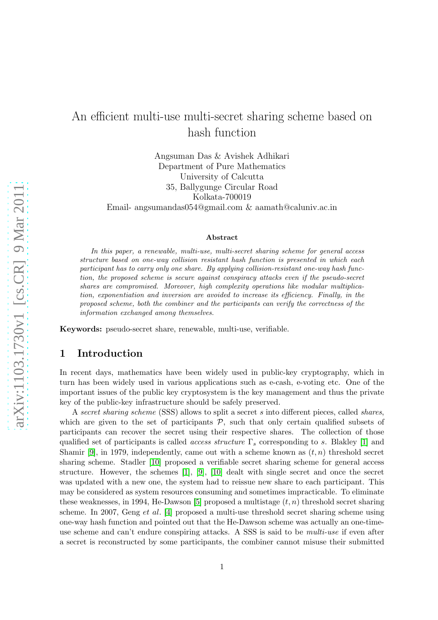# An efficient multi-use multi-secret sharing scheme based on hash function

Angsuman Das & Avishek Adhikari Department of Pure Mathematics University of Calcutta 35, Ballygunge Circular Road Kolkata-700019 Email- angsumandas054@gmail.com & aamath@caluniv.ac.in

#### Abstract

In this paper, a renewable, multi-use, multi-secret sharing scheme for general access structure based on one-way collision resistant hash function is presented in which each participant has to carry only one share. By applying collision-resistant one-way hash function, the proposed scheme is secure against conspiracy attacks even if the pseudo-secret shares are compromised. Moreover, high complexity operations like modular multiplication, exponentiation and inversion are avoided to increase its efficiency. Finally, in the proposed scheme, both the combiner and the participants can verify the correctness of the information exchanged among themselves.

Keywords: pseudo-secret share, renewable, multi-use, verifiable.

# 1 Introduction

In recent days, mathematics have been widely used in public-key cryptography, which in turn has been widely used in various applications such as e-cash, e-voting etc. One of the important issues of the public key cryptosystem is the key management and thus the private key of the public-key infrastructure should be safely preserved.

A secret sharing scheme (SSS) allows to split a secret s into different pieces, called shares, which are given to the set of participants  $P$ , such that only certain qualified subsets of participants can recover the secret using their respective shares. The collection of those qualified set of participants is called *access structure*  $\Gamma_s$  corresponding to s. Blakley [\[1\]](#page-5-0) and Shamir [\[9\]](#page-5-1), in 1979, independently, came out with a scheme known as  $(t, n)$  threshold secret sharing scheme. Stadler [\[10\]](#page-5-2) proposed a verifiable secret sharing scheme for general access structure. However, the schemes [\[1\]](#page-5-0), [\[9\]](#page-5-1), [\[10\]](#page-5-2) dealt with single secret and once the secret was updated with a new one, the system had to reissue new share to each participant. This may be considered as system resources consuming and sometimes impracticable. To eliminate these weaknesses, in 1994, He-Dawson [\[5\]](#page-5-3) proposed a multistage  $(t, n)$  threshold secret sharing scheme. In 2007, Geng et al. [\[4\]](#page-5-4) proposed a multi-use threshold secret sharing scheme using one-way hash function and pointed out that the He-Dawson scheme was actually an one-timeuse scheme and can't endure conspiring attacks. A SSS is said to be *multi-use* if even after a secret is reconstructed by some participants, the combiner cannot misuse their submitted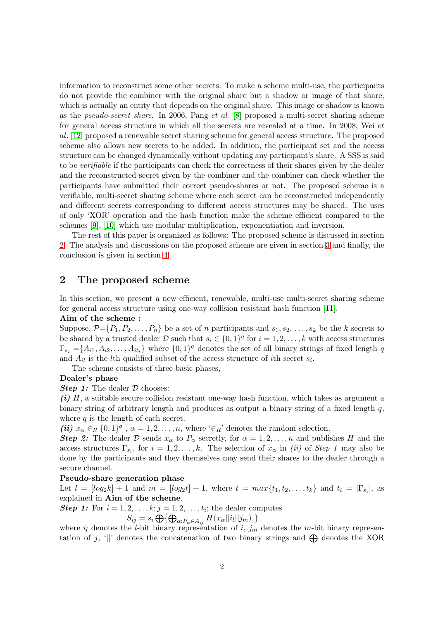information to reconstruct some other secrets. To make a scheme multi-use, the participants do not provide the combiner with the original share but a shadow or image of that share, which is actually an entity that depends on the original share. This image or shadow is known as the pseudo-secret share. In 2006, Pang et al. [\[8\]](#page-5-5) proposed a multi-secret sharing scheme for general access structure in which all the secrets are revealed at a time. In 2008, Wei et al. [\[12\]](#page-5-6) proposed a renewable secret sharing scheme for general access structure. The proposed scheme also allows new secrets to be added. In addition, the participant set and the access structure can be changed dynamically without updating any participant's share. A SSS is said to be verifiable if the participants can check the correctness of their shares given by the dealer and the reconstructed secret given by the combiner and the combiner can check whether the participants have submitted their correct pseudo-shares or not. The proposed scheme is a verifiable, multi-secret sharing scheme where each secret can be reconstructed independently and different secrets corresponding to different access structures may be shared. The uses of only 'XOR' operation and the hash function make the scheme efficient compared to the schemes [\[9\]](#page-5-1), [\[10\]](#page-5-2) which use modular multiplication, exponentiation and inversion.

The rest of this paper is organized as follows: The proposed scheme is discussed in section [2.](#page-1-0) The analysis and discussions on the proposed scheme are given in section [3](#page-2-0) and finally, the conclusion is given in section [4.](#page-4-0)

## <span id="page-1-0"></span>2 The proposed scheme

In this section, we present a new efficient, renewable, multi-use multi-secret sharing scheme for general access structure using one-way collision resistant hash function [\[11\]](#page-5-7).

### Aim of the scheme :

Suppose,  $\mathcal{P} = \{P_1, P_2, \ldots, P_n\}$  be a set of *n* participants and  $s_1, s_2, \ldots, s_k$  be the k secrets to be shared by a trusted dealer D such that  $s_i \in \{0,1\}^q$  for  $i = 1, 2, \ldots, k$  with access structures  $\Gamma_{s_i} = \{A_{i1}, A_{i2}, \ldots, A_{it_i}\}\$  where  $\{0,1\}^q$  denotes the set of all binary strings of fixed length q and  $A_{il}$  is the *l*<sup>th</sup> qualified subset of the access structure of *i*<sup>th</sup> secret  $s_i$ .

The scheme consists of three basic phases,

#### Dealer's phase

#### **Step 1:** The dealer  $D$  chooses:

 $(i)$  H, a suitable secure collision resistant one-way hash function, which takes as argument a binary string of arbitrary length and produces as output a binary string of a fixed length  $q$ , where  $q$  is the length of each secret.

(ii)  $x_{\alpha} \in_R \{0,1\}^q$ ,  $\alpha = 1,2,\ldots,n$ , where ' $\in_R$ ' denotes the random selection.

**Step 2:** The dealer D sends  $x_{\alpha}$  to  $P_{\alpha}$  secretly, for  $\alpha = 1, 2, ..., n$  and publishes H and the access structures  $\Gamma_{s_i}$ , for  $i = 1, 2, ..., k$ . The selection of  $x_{\alpha}$  in *(ii)* of *Step 1* may also be done by the participants and they themselves may send their shares to the dealer through a secure channel.

### Pseudo-share generation phase

Let  $l = [log_2 k] + 1$  and  $m = [log_2 t] + 1$ , where  $t = max\{t_1, t_2, ..., t_k\}$  and  $t_i = |\Gamma_{s_i}|$ , as explained in Aim of the scheme.

**Step 1:** For  $i = 1, 2, ..., k; j = 1, 2, ..., t_i$ ; the dealer computes

$$
S_{ij} = s_i \bigoplus \{ \bigoplus_{\alpha: P_{\alpha} \in A_{ij}} H(x_{\alpha} || i_l || j_m) \}
$$

where  $i_l$  denotes the *l*-bit binary representation of  $i, j_m$  denotes the *m*-bit binary representation of j, '||' denotes the concatenation of two binary strings and  $\bigoplus$  denotes the XOR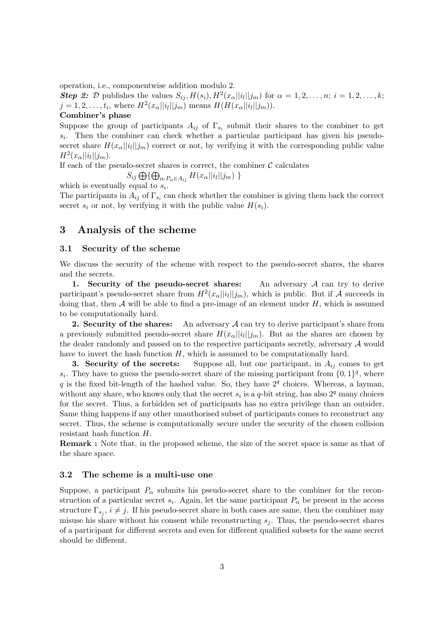operation, i.e., componentwise addition modulo 2.

Step 2: D publishes the values  $S_{ij}$ ,  $H(s_i)$ ,  $H^2(x_{\alpha}||i_l||j_m)$  for  $\alpha = 1, 2, \ldots, n; i = 1, 2, \ldots, k;$  $j = 1, 2, \ldots, t_i$ , where  $H^2(x_{\alpha} || i_l || j_m)$  means  $H(H(x_{\alpha} || i_l || j_m))$ .

### Combiner's phase

Suppose the group of participants  $A_{ij}$  of  $\Gamma_{s_i}$  submit their shares to the combiner to get  $s_i$ . Then the combiner can check whether a particular participant has given his pseudosecret share  $H(x_{\alpha}||i_l||j_m)$  correct or not, by verifying it with the corresponding public value  $H^2(x_{\alpha}||i_l||j_m).$ 

If each of the pseudo-secret shares is correct, the combiner  $\mathcal C$  calculates

$$
S_{ij} \bigoplus \{ \bigoplus_{\alpha:P_{\alpha} \in A_{ij}} H(x_{\alpha} || i_l || j_m) \}
$$

which is eventually equal to  $s_i$ .

The participants in  $A_{ij}$  of  $\Gamma_{s_i}$  can check whether the combiner is giving them back the correct secret  $s_i$  or not, by verifying it with the public value  $H(s_i)$ .

### <span id="page-2-0"></span>3 Analysis of the scheme

### 3.1 Security of the scheme

We discuss the security of the scheme with respect to the pseudo-secret shares, the shares and the secrets.

1. Security of the pseudo-secret shares: An adversary  $A$  can try to derive participant's pseudo-secret share from  $H^2(x_\alpha ||i_l||j_m)$ , which is public. But if A succeeds in doing that, then  $A$  will be able to find a pre-image of an element under  $H$ , which is assumed to be computationally hard.

**2. Security of the shares:** An adversary  $A$  can try to derive participant's share from a previously submitted pseudo-secret share  $H(x_{\alpha}||i_l||j_m)$ . But as the shares are chosen by the dealer randomly and passed on to the respective participants secretly, adversary A would have to invert the hash function  $H$ , which is assumed to be computationally hard.

**3. Security of the secrets:** Suppose all, but one participant, in  $A_{ij}$  comes to get  $s_i$ . They have to guess the pseudo-secret share of the missing participant from  $\{0,1\}^q$ , where q is the fixed bit-length of the hashed value. So, they have  $2<sup>q</sup>$  choices. Whereas, a layman, without any share, who knows only that the secret  $s_i$  is a q-bit string, has also  $2^q$  many choices for the secret. Thus, a forbidden set of participants has no extra privilege than an outsider. Same thing happens if any other unauthorised subset of participants comes to reconstruct any secret. Thus, the scheme is computationally secure under the security of the chosen collision resistant hash function H.

Remark : Note that, in the proposed scheme, the size of the secret space is same as that of the share space.

#### 3.2 The scheme is a multi-use one

Suppose, a participant  $P_{\alpha}$  submits his pseudo-secret share to the combiner for the reconstruction of a particular secret  $s_i$ . Again, let the same participant  $P_\alpha$  be present in the access structure  $\Gamma_{s_j}$ ,  $i \neq j$ . If his pseudo-secret share in both cases are same, then the combiner may misuse his share without his consent while reconstructing  $s_i$ . Thus, the pseudo-secret shares of a participant for different secrets and even for different qualified subsets for the same secret should be different.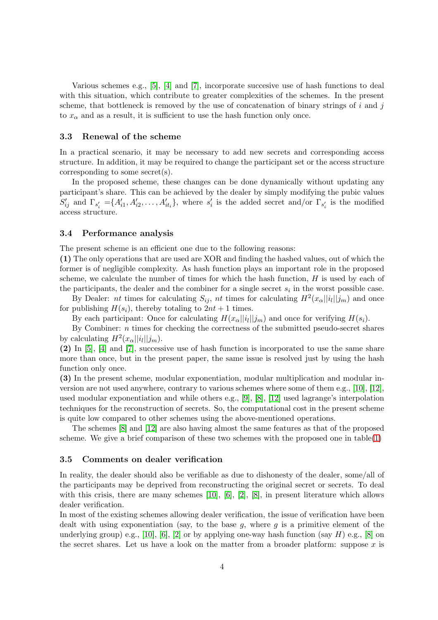Various schemes e.g., [\[5\]](#page-5-3), [\[4\]](#page-5-4) and [\[7\]](#page-5-8), incorporate succesive use of hash functions to deal with this situation, which contribute to greater complexities of the schemes. In the present scheme, that bottleneck is removed by the use of concatenation of binary strings of  $i$  and  $j$ to  $x_{\alpha}$  and as a result, it is sufficient to use the hash function only once.

#### 3.3 Renewal of the scheme

In a practical scenario, it may be necessary to add new secrets and corresponding access structure. In addition, it may be required to change the participant set or the access structure corresponding to some secret(s).

In the proposed scheme, these changes can be done dynamically without updating any participant's share. This can be achieved by the dealer by simply modifying the pubic values  $S'_{ij}$  and  $\Gamma_{s'_i} = \{A'_{i1}, A'_{i2}, \ldots, A'_{it_i}\}$ , where  $s'_i$  is the added secret and/or  $\Gamma_{s'_i}$  is the modified access structure.

#### 3.4 Performance analysis

The present scheme is an efficient one due to the following reasons:

(1) The only operations that are used are XOR and finding the hashed values, out of which the former is of negligible complexity. As hash function plays an important role in the proposed scheme, we calculate the number of times for which the hash function,  $H$  is used by each of the participants, the dealer and the combiner for a single secret  $s_i$  in the worst possible case.

By Dealer: nt times for calculating  $S_{ij}$ , nt times for calculating  $H^2(x_{\alpha}||i_l||j_m)$  and once for publishing  $H(s_i)$ , thereby totaling to  $2nt + 1$  times.

By each participant: Once for calculating  $H(x_{\alpha}||i_l||j_m)$  and once for verifying  $H(s_i)$ .

By Combiner:  $n$  times for checking the correctness of the submitted pseudo-secret shares by calculating  $H^2(x_\alpha||i_l||j_m)$ .

(2) In [\[5\]](#page-5-3), [\[4\]](#page-5-4) and [\[7\]](#page-5-8), successive use of hash function is incorporated to use the same share more than once, but in the present paper, the same issue is resolved just by using the hash function only once.

(3) In the present scheme, modular exponentiation, modular multiplication and modular inversion are not used anywhere, contrary to various schemes where some of them e.g., [\[10\]](#page-5-2), [\[12\]](#page-5-6), used modular exponentiation and while others e.g., [\[9\]](#page-5-1), [\[8\]](#page-5-5), [\[12\]](#page-5-6) used lagrange's interpolation techniques for the reconstruction of secrets. So, the computational cost in the present scheme is quite low compared to other schemes using the above-mentioned operations.

The schemes [\[8\]](#page-5-5) and [\[12\]](#page-5-6) are also having almost the same features as that of the proposed scheme. We give a brief comparison of these two schemes with the proposed one in table[\(1\)](#page-4-1)

#### 3.5 Comments on dealer verification

In reality, the dealer should also be verifiable as due to dishonesty of the dealer, some/all of the participants may be deprived from reconstructing the original secret or secrets. To deal with this crisis, there are many schemes [\[10\]](#page-5-2), [\[6\]](#page-5-9), [\[2\]](#page-5-10), [\[8\]](#page-5-5), in present literature which allows dealer verification.

In most of the existing schemes allowing dealer verification, the issue of verification have been dealt with using exponentiation (say, to the base  $g$ , where  $g$  is a primitive element of the underlying group) e.g., [\[10\]](#page-5-2), [\[6\]](#page-5-9), [\[2\]](#page-5-10) or by applying one-way hash function (say  $H$ ) e.g., [\[8\]](#page-5-5) on the secret shares. Let us have a look on the matter from a broader platform: suppose  $x$  is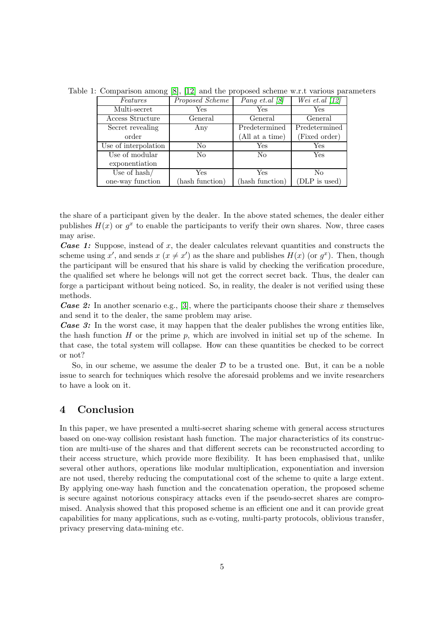<span id="page-4-1"></span>

| Features                | Proposed Scheme | <i>Pang et.al</i> $\left[8\right]$ | Wei et.al $\langle 12 \rangle$ |
|-------------------------|-----------------|------------------------------------|--------------------------------|
| Multi-secret            | Yes             | Yes.                               | Yes                            |
| Access Structure        | General         | General                            | General                        |
| Secret revealing        | Any             | Predetermined                      | Predetermined                  |
| order                   |                 | (All at a time)                    | (Fixed order)                  |
| Use of interpolation    | N <sub>0</sub>  | Yes                                | Yes                            |
| Use of modular          | N <sub>0</sub>  | No                                 | Yes                            |
| exponentiation          |                 |                                    |                                |
| Use of $\mathrm{hash}/$ | <b>Yes</b>      | Yes                                | No                             |
| one-way function        | hash function)  | hash function)                     | (DLP is used)                  |

Table 1: Comparison among [\[8\]](#page-5-5), [\[12\]](#page-5-6) and the proposed scheme w.r.t various parameters

the share of a participant given by the dealer. In the above stated schemes, the dealer either publishes  $H(x)$  or  $g^x$  to enable the participants to verify their own shares. Now, three cases may arise.

**Case 1:** Suppose, instead of x, the dealer calculates relevant quantities and constructs the scheme using x', and sends  $x (x \neq x')$  as the share and publishes  $H(x)$  (or  $g^x$ ). Then, though the participant will be ensured that his share is valid by checking the verification procedure, the qualified set where he belongs will not get the correct secret back. Thus, the dealer can forge a participant without being noticed. So, in reality, the dealer is not verified using these methods.

**Case 2:** In another scenario e.g., [\[3\]](#page-5-11), where the participants choose their share x themselves and send it to the dealer, the same problem may arise.

Case 3: In the worst case, it may happen that the dealer publishes the wrong entities like, the hash function  $H$  or the prime  $p$ , which are involved in initial set up of the scheme. In that case, the total system will collapse. How can these quantities be checked to be correct or not?

So, in our scheme, we assume the dealer  $D$  to be a trusted one. But, it can be a noble issue to search for techniques which resolve the aforesaid problems and we invite researchers to have a look on it.

# <span id="page-4-0"></span>4 Conclusion

In this paper, we have presented a multi-secret sharing scheme with general access structures based on one-way collision resistant hash function. The major characteristics of its construction are multi-use of the shares and that different secrets can be reconstructed according to their access structure, which provide more flexibility. It has been emphasised that, unlike several other authors, operations like modular multiplication, exponentiation and inversion are not used, thereby reducing the computational cost of the scheme to quite a large extent. By applying one-way hash function and the concatenation operation, the proposed scheme is secure against notorious conspiracy attacks even if the pseudo-secret shares are compromised. Analysis showed that this proposed scheme is an efficient one and it can provide great capabilities for many applications, such as e-voting, multi-party protocols, oblivious transfer, privacy preserving data-mining etc.